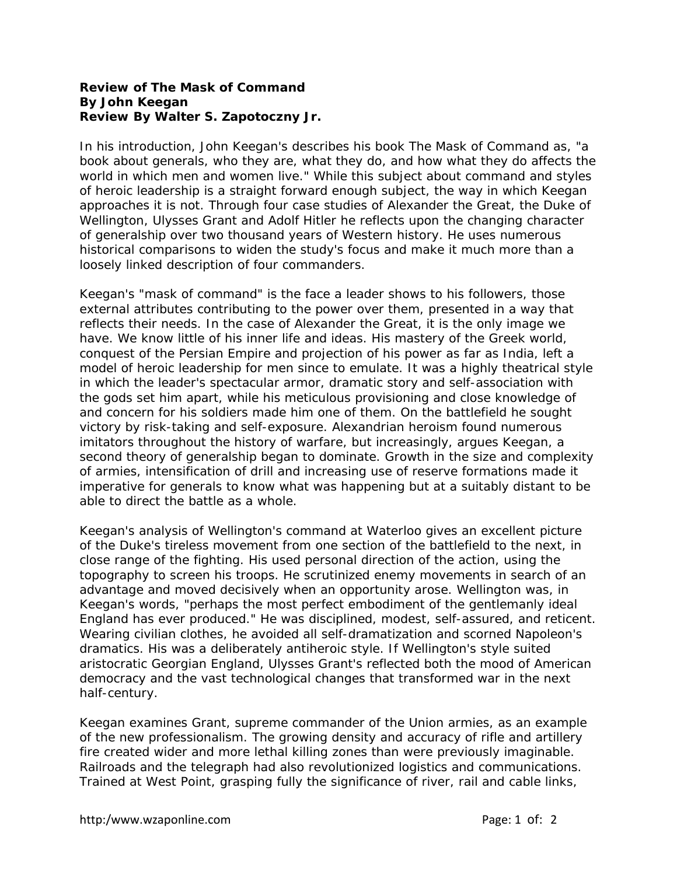## **Review of** *The Mask of Command* **By John Keegan Review By Walter S. Zapotoczny Jr.**

In his introduction, John Keegan's describes his book The Mask of Command as, "a book about generals, who they are, what they do, and how what they do affects the world in which men and women live." While this subject about command and styles of heroic leadership is a straight forward enough subject, the way in which Keegan approaches it is not. Through four case studies of Alexander the Great, the Duke of Wellington, Ulysses Grant and Adolf Hitler he reflects upon the changing character of generalship over two thousand years of Western history. He uses numerous historical comparisons to widen the study's focus and make it much more than a loosely linked description of four commanders.

Keegan's "mask of command" is the face a leader shows to his followers, those external attributes contributing to the power over them, presented in a way that reflects their needs. In the case of Alexander the Great, it is the only image we have. We know little of his inner life and ideas. His mastery of the Greek world, conquest of the Persian Empire and projection of his power as far as India, left a model of heroic leadership for men since to emulate. It was a highly theatrical style in which the leader's spectacular armor, dramatic story and self-association with the gods set him apart, while his meticulous provisioning and close knowledge of and concern for his soldiers made him one of them. On the battlefield he sought victory by risk-taking and self-exposure. Alexandrian heroism found numerous imitators throughout the history of warfare, but increasingly, argues Keegan, a second theory of generalship began to dominate. Growth in the size and complexity of armies, intensification of drill and increasing use of reserve formations made it imperative for generals to know what was happening but at a suitably distant to be able to direct the battle as a whole.

Keegan's analysis of Wellington's command at Waterloo gives an excellent picture of the Duke's tireless movement from one section of the battlefield to the next, in close range of the fighting. His used personal direction of the action, using the topography to screen his troops. He scrutinized enemy movements in search of an advantage and moved decisively when an opportunity arose. Wellington was, in Keegan's words, "perhaps the most perfect embodiment of the gentlemanly ideal England has ever produced." He was disciplined, modest, self-assured, and reticent. Wearing civilian clothes, he avoided all self-dramatization and scorned Napoleon's dramatics. His was a deliberately antiheroic style. If Wellington's style suited aristocratic Georgian England, Ulysses Grant's reflected both the mood of American democracy and the vast technological changes that transformed war in the next half-century.

Keegan examines Grant, supreme commander of the Union armies, as an example of the new professionalism. The growing density and accuracy of rifle and artillery fire created wider and more lethal killing zones than were previously imaginable. Railroads and the telegraph had also revolutionized logistics and communications. Trained at West Point, grasping fully the significance of river, rail and cable links,